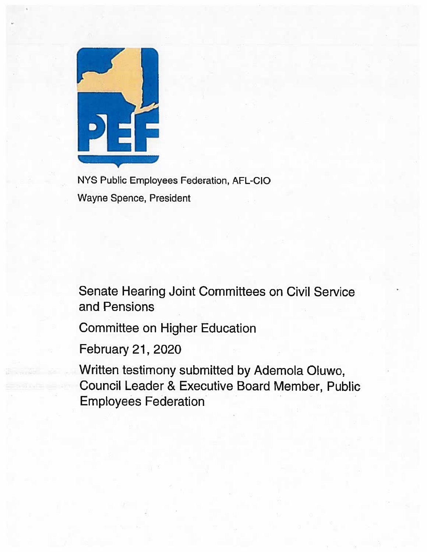

NYS Public Employees Federation, AFL-CIO Wayne Spence, President

Senate Hearing Joint Committees on Civil Service and Pensions

Committee on Higher Education

February 21, 2020

Written testimony submitted by Ademola Oluwo, Council Leader & Executive Board Member, Public Employees Federation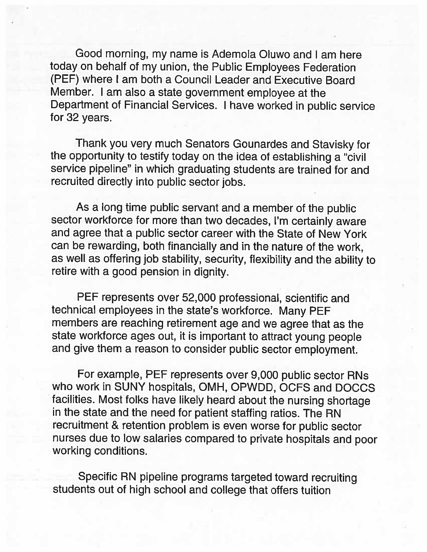Good morning, my name is Ademola Oluwo and I am here today on behalf of my union, the Public Employees Federation (PEF) where I am both <sup>a</sup> Council Leader and Executive Board Member. <sup>I</sup> am also <sup>a</sup> state government employee at the Department of Financial Services. <sup>I</sup> have worked in public service for 32 years.

Thank you very much Senators Gounardes and Stavisky for the opportunity to testify today on the idea of establishing <sup>a</sup> "civil service pipeline" in which graduating students are trained for and recruited directly into public sector jobs.

As <sup>a</sup> long time public servant and <sup>a</sup> member of the public sector workforce for more than two decades, I'm certainly aware and agree that <sup>a</sup> public sector career with the State of New York can be rewarding, both financially and in the nature of the work, as well as offering job stability, security, flexibility and the ability to retire with <sup>a</sup> good pension in dignity.

PEF represents over 52,000 professional, scientific and technical employees in the state's workforce. Many PEE members are reaching retirement age and we agree that as the state workforce ages out, it is important to attract young people and <sup>g</sup>ive them <sup>a</sup> reason to consider public sector employment.

For example, PEF represents over 9,000 public sector RNs who work in SUNY hospitals, OMH, OPWDD, OCFS and DOCCS facilities. Most folks have likely heard about the nursing shortage in the state and the need for patient staffing ratios. The RN recruitment & retention problem is even worse for public sector nurses due to low salaries compared to private hospitals and poor working conditions.

Specific RN <sup>p</sup>ipeline programs targeted toward recruiting students out of high school and college that offers tuition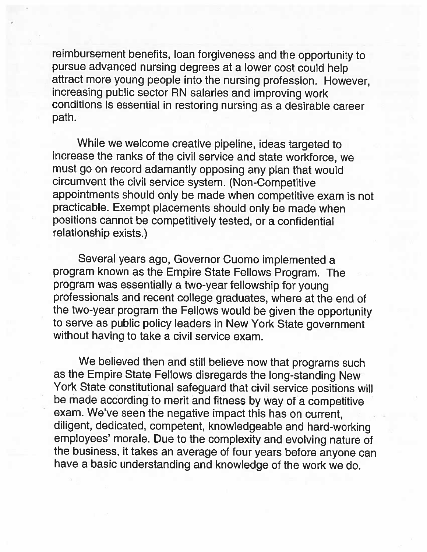reimbursement benefits, loan forgiveness and the opportunity to pursue advanced nursing degrees at <sup>a</sup> lower cost could help attract more young people into the nursing profession. However, increasing public sector RN salaries and improving work conditions is essential in restoring nursing as <sup>a</sup> desirable career path.

While we welcome creative <sup>p</sup>ipeline, ideas targeted to increase the ranks of the civil service and state workforce, we must go on record adamantly opposing any <sup>p</sup>lan that would circumvent the civil service system. (Non-Competitive appointments should only be made when competitive exam is not practicable. Exempt <sup>p</sup>lacements should only be made when positions cannot be competitively tested, or <sup>a</sup> confidential relationship exists.)

Several years ago, Governor Cuomo implemented a program known as the Empire State Fellows Program. The program was essentially <sup>a</sup> two-year fellowship for young professionals and recent college graduates, where at the end of the two-year program the Fellows would be <sup>g</sup>iven the opportunity to serve as public policy leaders in New York State government without having to take <sup>a</sup> civil service exam.

We believed then and still believe now that programs such as the Empire State Fellows disregards the long-standing New York State constitutional safeguard that civil service positions will be made according to merit and fitness by way of <sup>a</sup> competitive exam. We've seen the negative impact this has on current, diligent, dedicated, competent, knowledgeable and hard-working employees' morale. Due to the complexity and evolving nature of the business, it takes an average of four years before anyone can have <sup>a</sup> basic understanding and knowledge of the work we do.